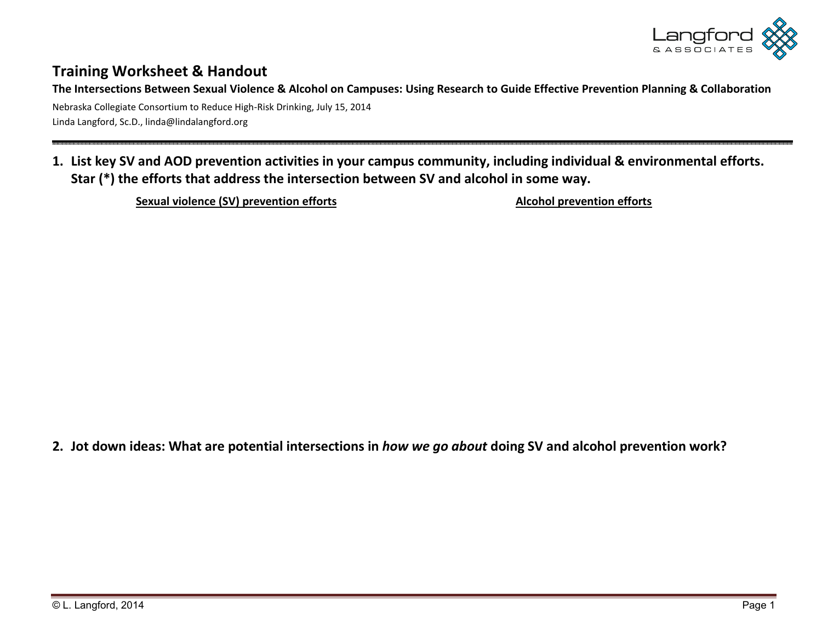

## **Training Worksheet & Handout**

**The Intersections Between Sexual Violence & Alcohol on Campuses: Using Research to Guide Effective Prevention Planning & Collaboration** 

Nebraska Collegiate Consortium to Reduce High-Risk Drinking, July 15, 2014 Linda Langford, Sc.D., linda@lindalangford.org

## **1. List key SV and AOD prevention activities in your campus community, including individual & environmental efforts. Star (\*) the efforts that address the intersection between SV and alcohol in some way.**

Sexual violence (SV) prevention efforts **Alcohol prevention efforts** Alcohol prevention efforts

**2. Jot down ideas: What are potential intersections in** *how we go about* **doing SV and alcohol prevention work?**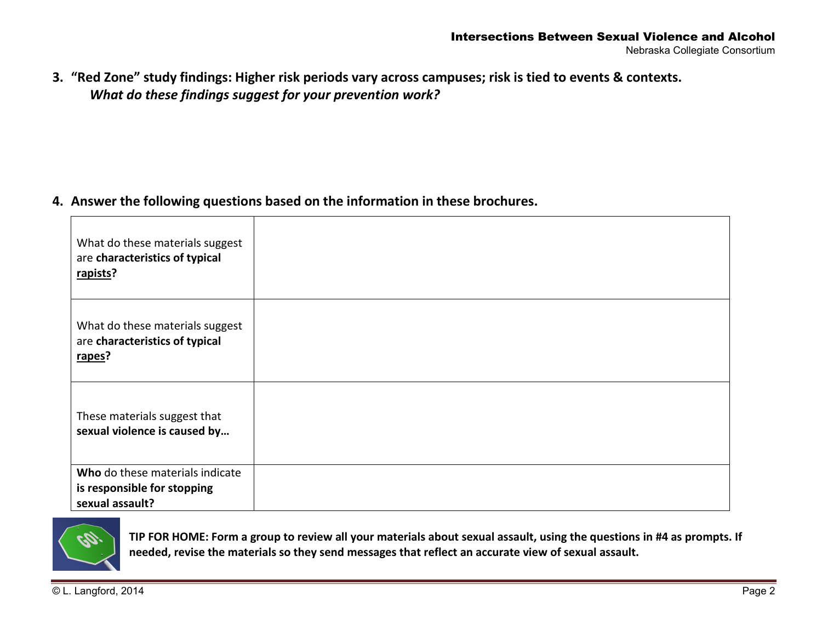**3. "Red Zone" study findings: Higher risk periods vary across campuses; risk is tied to events & contexts.**  *What do these findings suggest for your prevention work?* 

**4. Answer the following questions based on the information in these brochures.** 

| What do these materials suggest<br>are characteristics of typical<br>rapists?     |  |
|-----------------------------------------------------------------------------------|--|
| What do these materials suggest<br>are characteristics of typical<br>rapes?       |  |
| These materials suggest that<br>sexual violence is caused by                      |  |
| Who do these materials indicate<br>is responsible for stopping<br>sexual assault? |  |



**TIP FOR HOME: Form a group to review all your materials about sexual assault, using the questions in #4 as prompts. If needed, revise the materials so they send messages that reflect an accurate view of sexual assault.**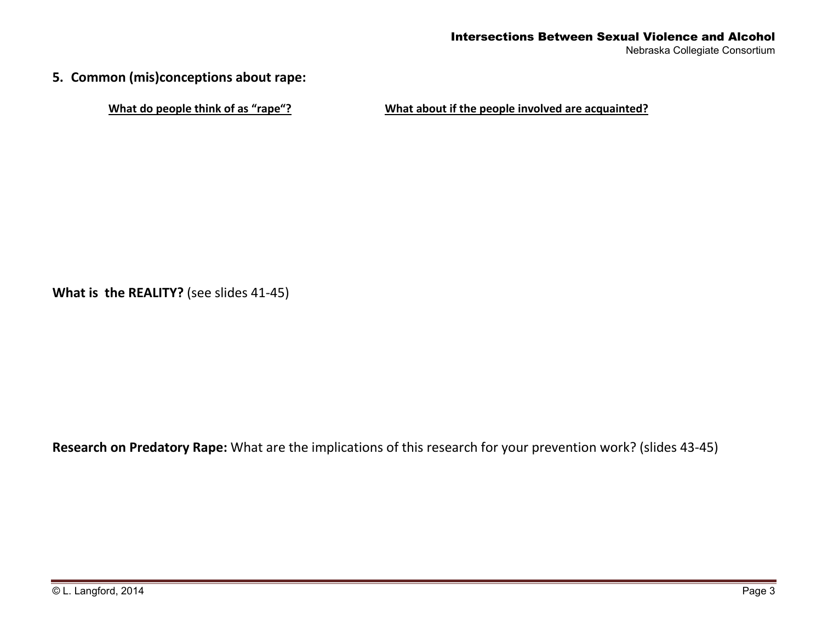**5. Common (mis)conceptions about rape:** 

**What do people think of as "rape"? What about if the people involved are acquainted?** 

**What is the REALITY?** (see slides 41-45)

**Research on Predatory Rape:** What are the implications of this research for your prevention work? (slides 43-45)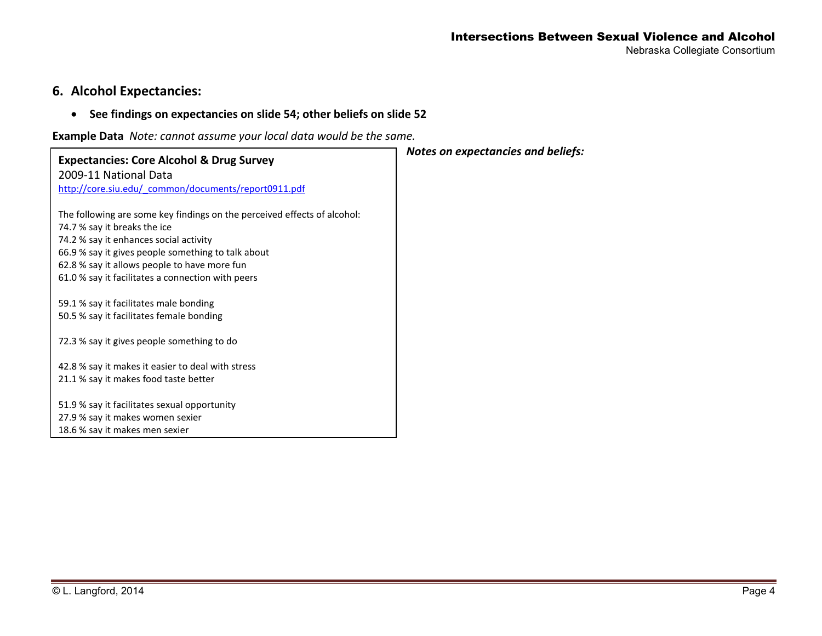#### Intersections Between Sexual Violence and Alcohol Nebraska Collegiate Consortium

## **6. Alcohol Expectancies:**

## • **See findings on expectancies on slide 54; other beliefs on slide 52**

**Example Data** *Note: cannot assume your local data would be the same.*

| <b>Expectancies: Core Alcohol &amp; Drug Survey</b>                      | Notes on expectancies and beliefs: |
|--------------------------------------------------------------------------|------------------------------------|
| 2009-11 National Data                                                    |                                    |
| http://core.siu.edu/ common/documents/report0911.pdf                     |                                    |
| The following are some key findings on the perceived effects of alcohol: |                                    |
| 74.7 % say it breaks the ice                                             |                                    |
| 74.2 % say it enhances social activity                                   |                                    |
| 66.9 % say it gives people something to talk about                       |                                    |
| 62.8 % say it allows people to have more fun                             |                                    |
| 61.0 % say it facilitates a connection with peers                        |                                    |
| 59.1 % say it facilitates male bonding                                   |                                    |
| 50.5 % say it facilitates female bonding                                 |                                    |
| 72.3 % say it gives people something to do                               |                                    |
| 42.8 % say it makes it easier to deal with stress                        |                                    |
| 21.1 % say it makes food taste better                                    |                                    |
| 51.9 % say it facilitates sexual opportunity                             |                                    |
| 27.9 % say it makes women sexier                                         |                                    |
| 18.6 % say it makes men sexier                                           |                                    |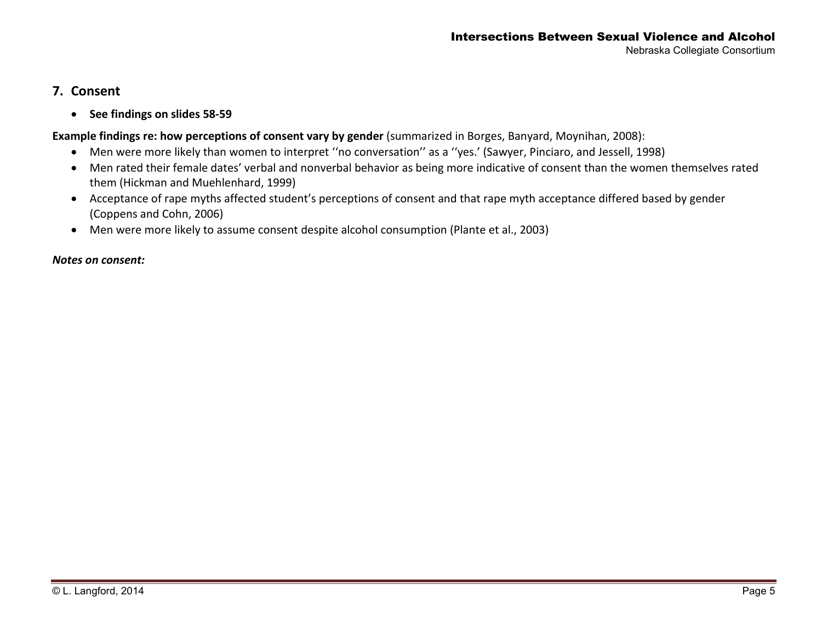## **7. Consent**

• **See findings on slides 58-59** 

### **Example findings re: how perceptions of consent vary by gender** (summarized in Borges, Banyard, Moynihan, 2008):

- Men were more likely than women to interpret ''no conversation'' as a ''yes.' (Sawyer, Pinciaro, and Jessell, 1998)
- Men rated their female dates' verbal and nonverbal behavior as being more indicative of consent than the women themselves rated them (Hickman and Muehlenhard, 1999)
- Acceptance of rape myths affected student's perceptions of consent and that rape myth acceptance differed based by gender (Coppens and Cohn, 2006)
- Men were more likely to assume consent despite alcohol consumption (Plante et al., 2003)

#### *Notes on consent:*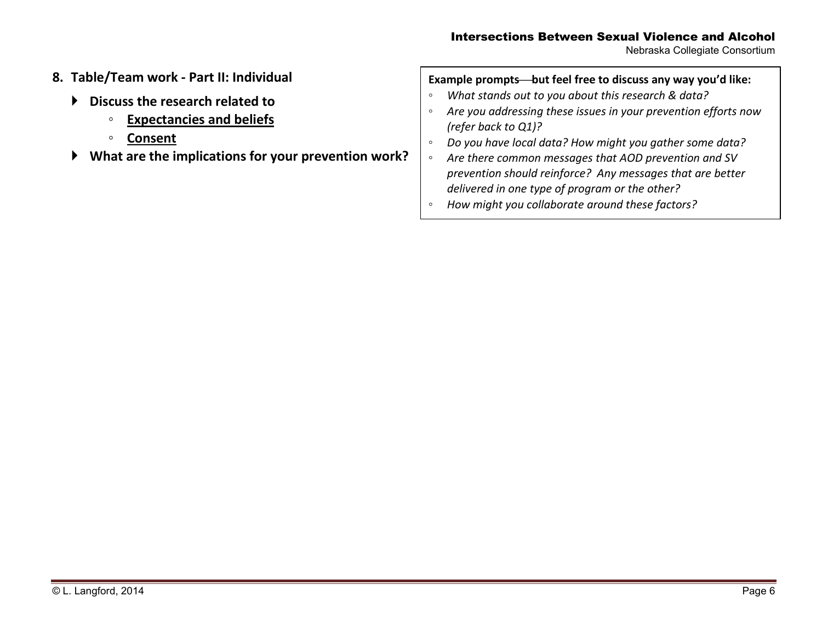Nebraska Collegiate Consortium

- **8. Table/Team work Part II: Individual** 
	- **Discuss the research related to** 
		- **Expectancies and beliefs**
		- **Consent**
	- **What are the implications for your prevention work?**

| Example prompts—but feel free to discuss any way you'd like: |                                                                |  |  |
|--------------------------------------------------------------|----------------------------------------------------------------|--|--|
| $\circ$                                                      | What stands out to you about this research & data?             |  |  |
| $\circ$                                                      | Are you addressing these issues in your prevention efforts now |  |  |
|                                                              | (refer back to Q1)?                                            |  |  |
| $\circ$                                                      | Do you have local data? How might you gather some data?        |  |  |
| $\circ$                                                      | Are there common messages that AOD prevention and SV           |  |  |
|                                                              | prevention should reinforce? Any messages that are better      |  |  |
|                                                              | delivered in one type of program or the other?                 |  |  |
| $\circ$                                                      | How might you collaborate around these factors?                |  |  |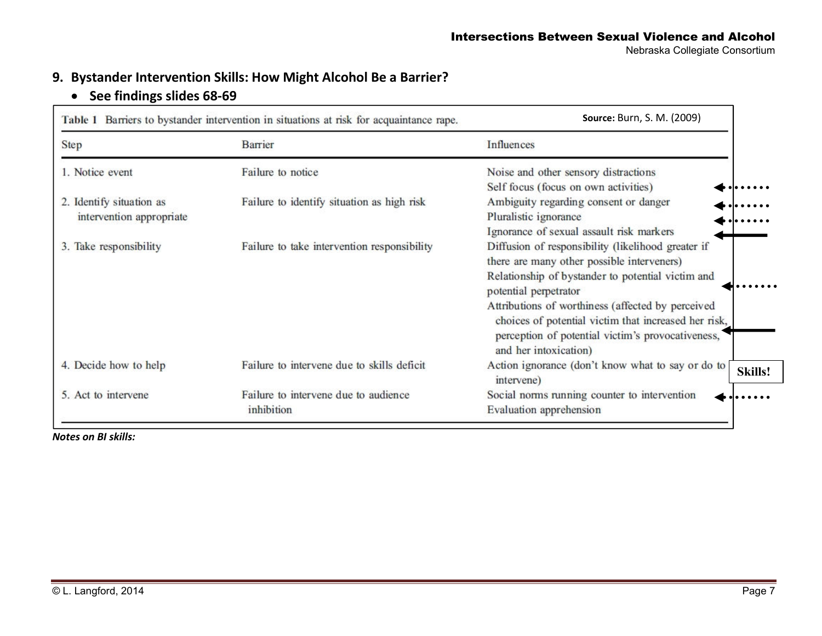## **9. Bystander Intervention Skills: How Might Alcohol Be a Barrier?**

# • **See findings slides 68-69**

|                                                      | Table 1 Barriers to bystander intervention in situations at risk for acquaintance rape. | <b>Source: Burn, S. M. (2009)</b>                                                                                                                                                       |  |
|------------------------------------------------------|-----------------------------------------------------------------------------------------|-----------------------------------------------------------------------------------------------------------------------------------------------------------------------------------------|--|
| <b>Step</b>                                          | Barrier                                                                                 | Influences                                                                                                                                                                              |  |
| 1. Notice event                                      | Failure to notice                                                                       | Noise and other sensory distractions                                                                                                                                                    |  |
|                                                      |                                                                                         | Self focus (focus on own activities)                                                                                                                                                    |  |
| 2. Identify situation as<br>intervention appropriate | Failure to identify situation as high risk                                              | Ambiguity regarding consent or danger                                                                                                                                                   |  |
|                                                      |                                                                                         | Pluralistic ignorance                                                                                                                                                                   |  |
|                                                      |                                                                                         | Ignorance of sexual assault risk markers                                                                                                                                                |  |
| 3. Take responsibility                               | Failure to take intervention responsibility                                             | Diffusion of responsibility (likelihood greater if                                                                                                                                      |  |
|                                                      |                                                                                         | there are many other possible interveners)                                                                                                                                              |  |
|                                                      |                                                                                         | Relationship of bystander to potential victim and<br>potential perpetrator                                                                                                              |  |
|                                                      |                                                                                         | Attributions of worthiness (affected by perceived<br>choices of potential victim that increased her risk,<br>perception of potential victim's provocativeness,<br>and her intoxication) |  |
| 4. Decide how to help                                | Failure to intervene due to skills deficit                                              | Action ignorance (don't know what to say or do to<br>intervene)                                                                                                                         |  |
| 5. Act to intervene                                  | Failure to intervene due to audience                                                    | Social norms running counter to intervention                                                                                                                                            |  |
|                                                      | inhibition                                                                              | Evaluation apprehension                                                                                                                                                                 |  |

*Notes on BI skills:*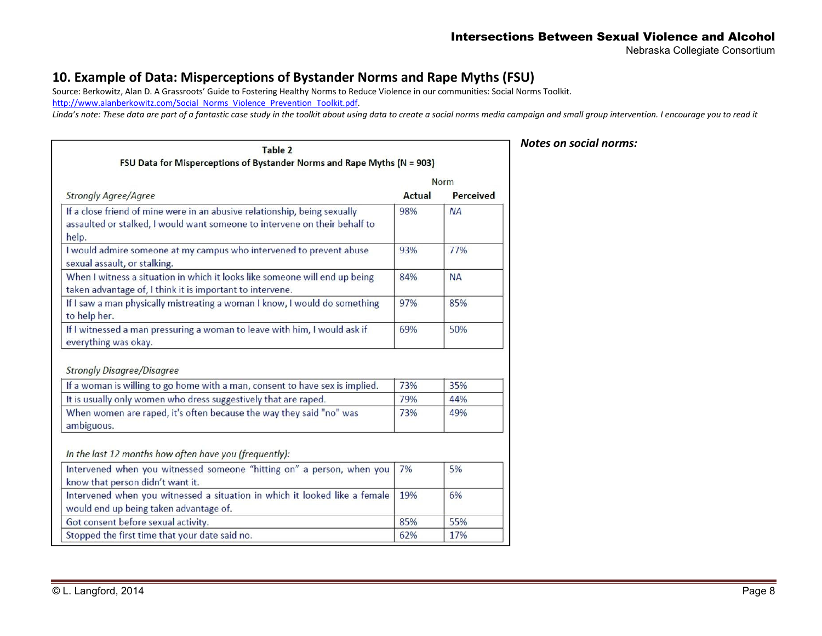Nebraska Collegiate Consortium

## **10. Example of Data: Misperceptions of Bystander Norms and Rape Myths (FSU)**

Source: Berkowitz, Alan D. A Grassroots' Guide to Fostering Healthy Norms to Reduce Violence in our communities: Social Norms Toolkit.

http://www.alanberkowitz.com/Social\_Norms\_Violence\_Prevention\_Toolkit.pdf.

*Linda's note: These data are part of a fantastic case study in the toolkit about using data to create a social norms media campaign and small group intervention. I encourage you to read it* 

| Table 2<br>FSU Data for Misperceptions of Bystander Norms and Rape Myths (N = 903)                                                                               |        |             |  |
|------------------------------------------------------------------------------------------------------------------------------------------------------------------|--------|-------------|--|
|                                                                                                                                                                  |        | <b>Norm</b> |  |
| <b>Strongly Agree/Agree</b>                                                                                                                                      | Actual | Perceived   |  |
| If a close friend of mine were in an abusive relationship, being sexually<br>assaulted or stalked, I would want someone to intervene on their behalf to<br>help. | 98%    | <b>NA</b>   |  |
| I would admire someone at my campus who intervened to prevent abuse<br>sexual assault, or stalking.                                                              | 93%    | 77%         |  |
| When I witness a situation in which it looks like someone will end up being<br>taken advantage of, I think it is important to intervene.                         | 84%    | <b>NA</b>   |  |
| If I saw a man physically mistreating a woman I know, I would do something<br>to help her.                                                                       | 97%    | 85%         |  |
| If I witnessed a man pressuring a woman to leave with him, I would ask if<br>everything was okay.                                                                | 69%    | 50%         |  |
| <b>Strongly Disagree/Disagree</b>                                                                                                                                |        |             |  |
| If a woman is willing to go home with a man, consent to have sex is implied.                                                                                     | 73%    | 35%         |  |
| It is usually only women who dress suggestively that are raped.                                                                                                  | 79%    | 44%         |  |
| When women are raped, it's often because the way they said "no" was<br>ambiguous.                                                                                |        | 49%         |  |
| In the last 12 months how often have you (frequently):                                                                                                           |        |             |  |
| Intervened when you witnessed someone "hitting on" a person, when you<br>know that person didn't want it.                                                        | 7%     | 5%          |  |
| Intervened when you witnessed a situation in which it looked like a female<br>would end up being taken advantage of.                                             |        | 6%          |  |
| Got consent before sexual activity.                                                                                                                              | 85%    | 55%         |  |
| Stopped the first time that your date said no.                                                                                                                   | 62%    | 17%         |  |

#### *Notes on social norms:*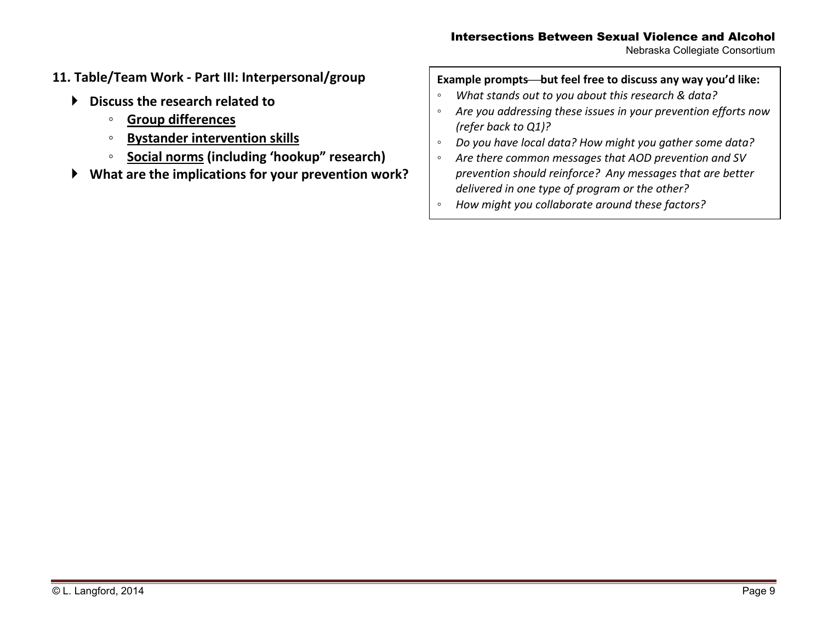Nebraska Collegiate Consortium

- **11. Table/Team Work Part III: Interpersonal/group** 
	- **Discuss the research related to** 
		- **Group differences**
		- **Bystander intervention skills**   $\circ$
		- ◦**Social norms (including 'hookup" research)**
	- ▶ **What are the implications for your prevention work?**

## **Example promptsbut feel free to discuss any way you'd like:**

- ◦*What stands out to you about this research & data?*
- $^{\circ}$  *Are you addressing these issues in your prevention efforts now (refer back to Q1)?*
- *Do you have local data? How might you gather some data?* $\circ$
- *Are there common messages that AOD prevention and SV*   $^{\circ}$ *prevention should reinforce? Any messages that are betterdelivered in one type of program or the other?*
- *How might you collaborate around these factors?*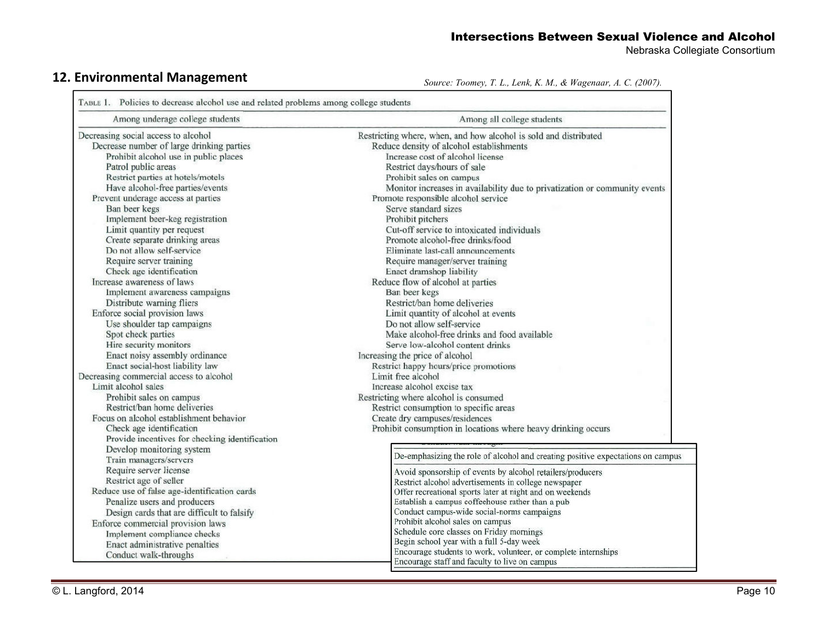Nebraska Collegiate Consortium

# **12. Environmental Management** *Source: Toomey, T. L., Lenk, K. M., & Wagenaar, A. C. (2007).*

| Among underage college students                | Among all college students                                                      |
|------------------------------------------------|---------------------------------------------------------------------------------|
| Decreasing social access to alcohol            | Restricting where, when, and how alcohol is sold and distributed                |
| Decrease number of large drinking parties      | Reduce density of alcohol establishments                                        |
| Prohibit alcohol use in public places          | Increase cost of alcohol license                                                |
| Patrol public areas                            | Restrict days/hours of sale                                                     |
| Restrict parties at hotels/motels              | Prohibit sales on campus                                                        |
| Have alcohol-free parties/events               | Monitor increases in availability due to privatization or community events      |
| Prevent underage access at parties             | Promote responsible alcohol service                                             |
| Ban beer kegs                                  | Serve standard sizes                                                            |
| Implement beer-keg registration                | Prohibit pitchers                                                               |
| Limit quantity per request                     | Cut-off service to intoxicated individuals                                      |
| Create separate drinking areas                 | Promote alcohol-free drinks/food                                                |
| Do not allow self-service                      | Eliminate last-call announcements                                               |
| Require server training                        | Require manager/server training                                                 |
| Check age identification                       | Enact dramshop liability                                                        |
| Increase awareness of laws                     | Reduce flow of alcohol at parties                                               |
| Implement awareness campaigns                  | Ban beer kegs                                                                   |
| Distribute warning fliers                      | Restrict/ban home deliveries                                                    |
| Enforce social provision laws                  | Limit quantity of alcohol at events                                             |
| Use shoulder tap campaigns                     | Do not allow self-service                                                       |
| Spot check parties                             | Make alcohol-free drinks and food available                                     |
| Hire security monitors                         | Serve low-alcohol content drinks                                                |
| Enact noisy assembly ordinance                 | Increasing the price of alcohol                                                 |
| Enact social-host liability law                | Restrict happy hours/price promotions                                           |
| Decreasing commercial access to alcohol        | Limit free alcohol                                                              |
| Limit alcohol sales                            | Increase alcohol excise tax                                                     |
| Prohibit sales on campus                       | Restricting where alcohol is consumed                                           |
| Restrict/ban home deliveries                   | Restrict consumption to specific areas                                          |
| Focus on alcohol establishment behavior        | Create dry campuses/residences                                                  |
| Check age identification                       | Prohibit consumption in locations where heavy drinking occurs                   |
| Provide incentives for checking identification |                                                                                 |
| Develop monitoring system                      |                                                                                 |
| Train managers/servers                         | De-emphasizing the role of alcohol and creating positive expectations on campus |
| Require server license                         | Avoid sponsorship of events by alcohol retailers/producers                      |
| Restrict age of seller                         | Restrict alcohol advertisements in college newspaper                            |
| Reduce use of false age-identification cards   | Offer recreational sports later at night and on weekends                        |
| Penalize users and producers                   | Establish a campus coffeehouse rather than a pub                                |
| Design cards that are difficult to falsify     | Conduct campus-wide social-norms campaigns                                      |
| Enforce commercial provision laws              | Prohibit alcohol sales on campus                                                |
| Implement compliance checks                    | Schedule core classes on Friday mornings                                        |
| Enact administrative penalties                 | Begin school year with a full 5-day week                                        |
| Conduct walk-throughs                          | Encourage students to work, volunteer, or complete internships                  |
|                                                | Encourage staff and faculty to live on campus                                   |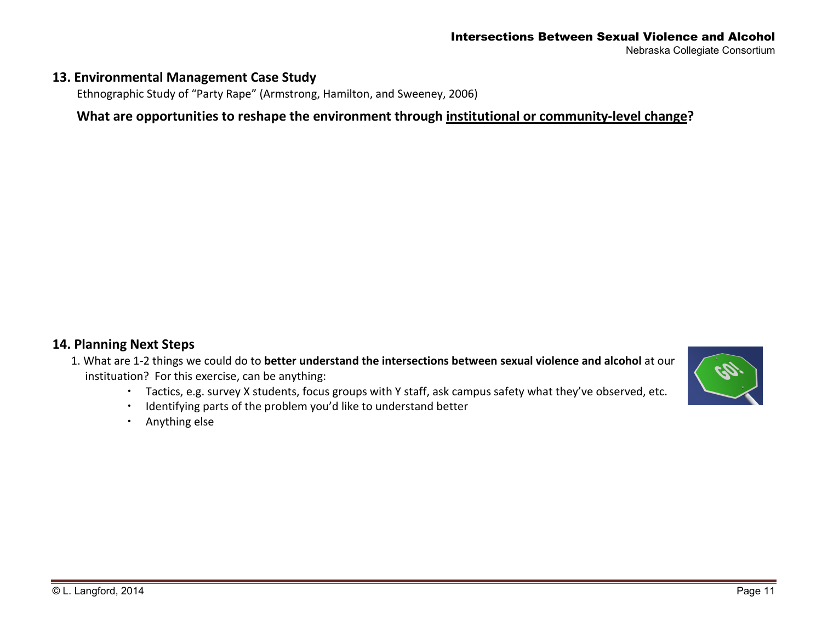#### Intersections Between Sexual Violence and Alcohol Nebraska Collegiate Consortium

## **13. Environmental Management Case Study**

Ethnographic Study of "Party Rape" (Armstrong, Hamilton, and Sweeney, 2006)

## **What are opportunities to reshape the environment through institutional or community-level change?**

## **14. Planning Next Steps**

- 1. What are 1-2 things we could do to **better understand the intersections between sexual violence and alcohol** at our instituation? For this exercise, can be anything:
	- Tactics, e.g. survey X students, focus groups with Y staff, ask campus safety what they've observed, etc.
	- Identifying parts of the problem you'd like to understand better
	- Anything else